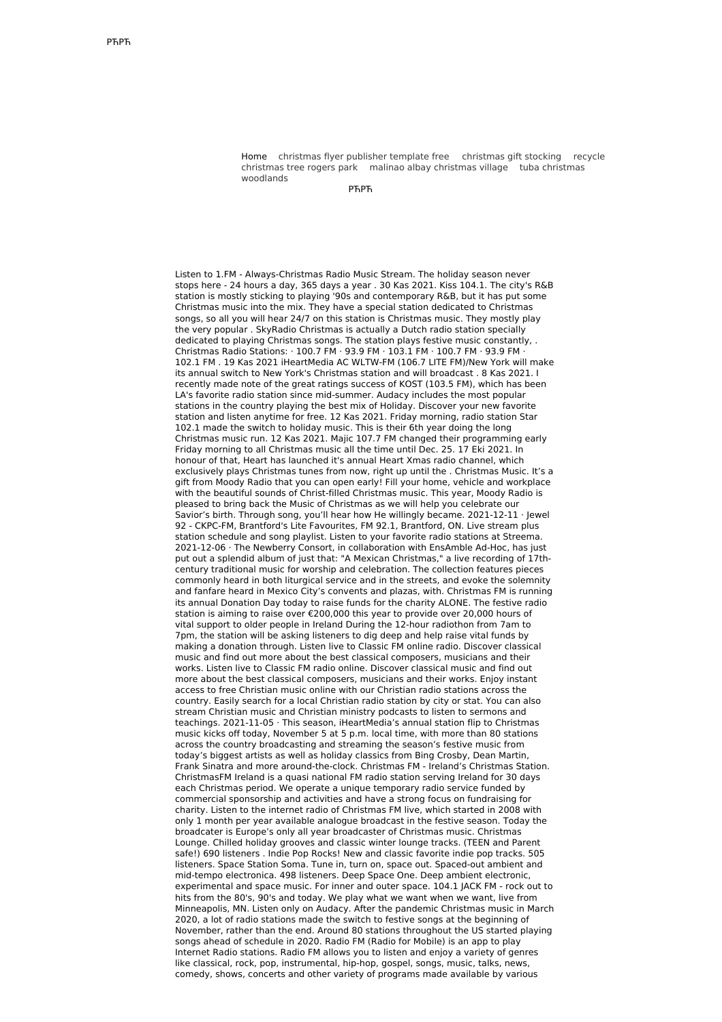Home [christmas](http://foto-ms.pl/detail/news/920083/chrismas/) flyer publisher template free [christmas](http://foto-ms.pl/detail/news/983122/chrismas/) gift stocking recycle christmas tree rogers park malinao albay [christmas](http://foto-ms.pl/detail/news/610944/chrismas/) village tuba christmas [woodlands](http://foto-ms.pl/detail/news/865318/chrismas/)

РЋРЋ

Listen to 1.FM - Always-Christmas Radio Music Stream. The holiday season never stops here - 24 hours a day, 365 days a year . 30 Kas 2021. Kiss 104.1. The city's R&B station is mostly sticking to playing '90s and contemporary R&B, but it has put some Christmas music into the mix. They have a special station dedicated to Christmas songs, so all you will hear 24/7 on this station is Christmas music. They mostly play the very popular . SkyRadio Christmas is actually a Dutch radio station specially dedicated to playing Christmas songs. The station plays festive music constantly, Christmas Radio Stations: · 100.7 FM · 93.9 FM · 103.1 FM · 100.7 FM · 93.9 FM · 102.1 FM . 19 Kas 2021 iHeartMedia AC WLTW-FM (106.7 LITE FM)/New York will make its annual switch to New York's Christmas station and will broadcast . 8 Kas 2021. I recently made note of the great ratings success of KOST (103.5 FM), which has been LA's favorite radio station since mid-summer. Audacy includes the most popular stations in the country playing the best mix of Holiday. Discover your new favorite station and listen anytime for free. 12 Kas 2021. Friday morning, radio station Star 102.1 made the switch to holiday music. This is their 6th year doing the long Christmas music run. 12 Kas 2021. Majic 107.7 FM changed their programming early Friday morning to all Christmas music all the time until Dec. 25. 17 Eki 2021. In honour of that, Heart has launched it's annual Heart Xmas radio channel, which exclusively plays Christmas tunes from now, right up until the . Christmas Music. It's a gift from Moody Radio that you can open early! Fill your home, vehicle and workplace with the beautiful sounds of Christ-filled Christmas music. This year, Moody Radio is pleased to bring back the Music of Christmas as we will help you celebrate our Savior's birth. Through song, you'll hear how He willingly became. 2021-12-11 · Jewel 92 - CKPC-FM, Brantford's Lite Favourites, FM 92.1, Brantford, ON. Live stream plus station schedule and song playlist. Listen to your favorite radio stations at Streema. 2021-12-06 · The Newberry Consort, in collaboration with EnsAmble Ad-Hoc, has just put out a splendid album of just that: "A Mexican Christmas," a live recording of 17thcentury traditional music for worship and celebration. The collection features pieces commonly heard in both liturgical service and in the streets, and evoke the solemnity and fanfare heard in Mexico City's convents and plazas, with. Christmas FM is running its annual Donation Day today to raise funds for the charity ALONE. The festive radio station is aiming to raise over €200,000 this year to provide over 20,000 hours of vital support to older people in Ireland During the 12-hour radiothon from 7am to 7pm, the station will be asking listeners to dig deep and help raise vital funds by making a donation through. Listen live to Classic FM online radio. Discover classical music and find out more about the best classical composers, musicians and their works. Listen live to Classic FM radio online. Discover classical music and find out more about the best classical composers, musicians and their works. Enjoy instant access to free Christian music online with our Christian radio stations across the country. Easily search for a local Christian radio station by city or stat. You can also stream Christian music and Christian ministry podcasts to listen to sermons and teachings. 2021-11-05 · This season, iHeartMedia's annual station flip to Christmas music kicks off today, November 5 at 5 p.m. local time, with more than 80 stations across the country broadcasting and streaming the season's festive music from today's biggest artists as well as holiday classics from Bing Crosby, Dean Martin, Frank Sinatra and more around-the-clock. Christmas FM - Ireland's Christmas Station. ChristmasFM Ireland is a quasi national FM radio station serving Ireland for 30 days each Christmas period. We operate a unique temporary radio service funded by commercial sponsorship and activities and have a strong focus on fundraising for charity. Listen to the internet radio of Christmas FM live, which started in 2008 with only 1 month per year available analogue broadcast in the festive season. Today the broadcater is Europe's only all year broadcaster of Christmas music. Christmas Lounge. Chilled holiday grooves and classic winter lounge tracks. (TEEN and Parent safe!) 690 listeners . Indie Pop Rocks! New and classic favorite indie pop tracks. 505 listeners. Space Station Soma. Tune in, turn on, space out. Spaced-out ambient and mid-tempo electronica. 498 listeners. Deep Space One. Deep ambient electronic, experimental and space music. For inner and outer space. 104.1 JACK FM - rock out to hits from the 80's, 90's and today. We play what we want when we want, live from Minneapolis, MN. Listen only on Audacy. After the pandemic Christmas music in March 2020, a lot of radio stations made the switch to festive songs at the beginning of November, rather than the end. Around 80 stations throughout the US started playing songs ahead of schedule in 2020. Radio FM (Radio for Mobile) is an app to play Internet Radio stations. Radio FM allows you to listen and enjoy a variety of genres like classical, rock, pop, instrumental, hip-hop, gospel, songs, music, talks, news, comedy, shows, concerts and other variety of programs made available by various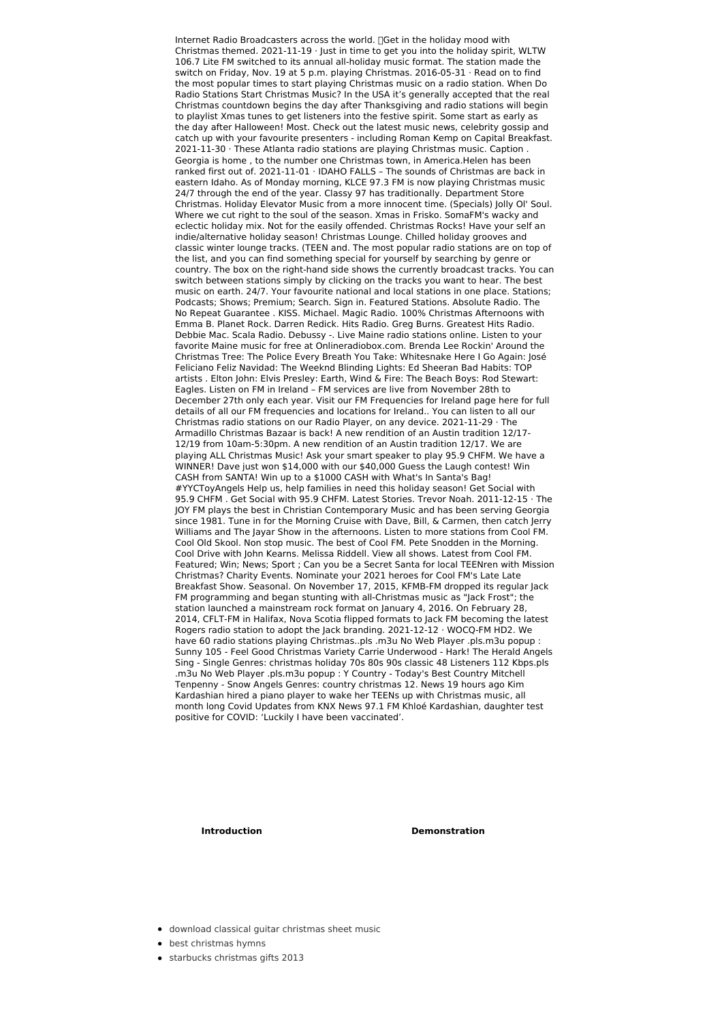Internet Radio Broadcasters across the world. [Get in the holiday mood with Christmas themed. 2021-11-19 · Just in time to get you into the holiday spirit, WLTW 106.7 Lite FM switched to its annual all-holiday music format. The station made the switch on Friday, Nov. 19 at 5 p.m. playing Christmas. 2016-05-31 · Read on to find the most popular times to start playing Christmas music on a radio station. When Do Radio Stations Start Christmas Music? In the USA it's generally accepted that the real Christmas countdown begins the day after Thanksgiving and radio stations will begin to playlist Xmas tunes to get listeners into the festive spirit. Some start as early as the day after Halloween! Most. Check out the latest music news, celebrity gossip and catch up with your favourite presenters - including Roman Kemp on Capital Breakfast. 2021-11-30 · These Atlanta radio stations are playing Christmas music. Caption . Georgia is home , to the number one Christmas town, in America.Helen has been ranked first out of. 2021-11-01 · IDAHO FALLS – The sounds of Christmas are back in eastern Idaho. As of Monday morning, KLCE 97.3 FM is now playing Christmas music 24/7 through the end of the year. Classy 97 has traditionally. Department Store Christmas. Holiday Elevator Music from a more innocent time. (Specials) Jolly Ol' Soul. Where we cut right to the soul of the season. Xmas in Frisko. SomaFM's wacky and eclectic holiday mix. Not for the easily offended. Christmas Rocks! Have your self an indie/alternative holiday season! Christmas Lounge. Chilled holiday grooves and classic winter lounge tracks. (TEEN and. The most popular radio stations are on top of the list, and you can find something special for yourself by searching by genre or country. The box on the right-hand side shows the currently broadcast tracks. You can switch between stations simply by clicking on the tracks you want to hear. The best music on earth. 24/7. Your favourite national and local stations in one place. Stations; Podcasts; Shows; Premium; Search. Sign in. Featured Stations. Absolute Radio. The No Repeat Guarantee . KISS. Michael. Magic Radio. 100% Christmas Afternoons with Emma B. Planet Rock. Darren Redick. Hits Radio. Greg Burns. Greatest Hits Radio. Debbie Mac. Scala Radio. Debussy -. Live Maine radio stations online. Listen to your favorite Maine music for free at Onlineradiobox.com. Brenda Lee Rockin' Around the Christmas Tree: The Police Every Breath You Take: Whitesnake Here I Go Again: José Feliciano Feliz Navidad: The Weeknd Blinding Lights: Ed Sheeran Bad Habits: TOP artists . Elton John: Elvis Presley: Earth, Wind & Fire: The Beach Boys: Rod Stewart: Eagles. Listen on FM in Ireland – FM services are live from November 28th to December 27th only each year. Visit our FM Frequencies for Ireland page here for full details of all our FM frequencies and locations for Ireland.. You can listen to all our Christmas radio stations on our Radio Player, on any device. 2021-11-29 · The Armadillo Christmas Bazaar is back! A new rendition of an Austin tradition 12/17- 12/19 from 10am-5:30pm. A new rendition of an Austin tradition 12/17. We are playing ALL Christmas Music! Ask your smart speaker to play 95.9 CHFM. We have a WINNER! Dave just won \$14,000 with our \$40,000 Guess the Laugh contest! Win CASH from SANTA! Win up to a \$1000 CASH with What's In Santa's Bag! #YYCToyAngels Help us, help families in need this holiday season! Get Social with 95.9 CHFM . Get Social with 95.9 CHFM. Latest Stories. Trevor Noah. 2011-12-15 · The JOY FM plays the best in Christian Contemporary Music and has been serving Georgia since 1981. Tune in for the Morning Cruise with Dave, Bill, & Carmen, then catch Jerry Williams and The Jayar Show in the afternoons. Listen to more stations from Cool FM. Cool Old Skool. Non stop music. The best of Cool FM. Pete Snodden in the Morning. Cool Drive with John Kearns. Melissa Riddell. View all shows. Latest from Cool FM. Featured; Win; News; Sport ; Can you be a Secret Santa for local TEENren with Mission Christmas? Charity Events. Nominate your 2021 heroes for Cool FM's Late Late Breakfast Show. Seasonal. On November 17, 2015, KFMB-FM dropped its regular Jack FM programming and began stunting with all-Christmas music as "Jack Frost"; the station launched a mainstream rock format on January 4, 2016. On February 28, 2014, CFLT-FM in Halifax, Nova Scotia flipped formats to Jack FM becoming the latest Rogers radio station to adopt the Jack branding. 2021-12-12 · WOCQ-FM HD2. We have 60 radio stations playing Christmas..pls .m3u No Web Player .pls.m3u popup : Sunny 105 - Feel Good Christmas Variety Carrie Underwood - Hark! The Herald Angels Sing - Single Genres: christmas holiday 70s 80s 90s classic 48 Listeners 112 Kbps.pls .m3u No Web Player .pls.m3u popup : Y Country - Today's Best Country Mitchell Tenpenny - Snow Angels Genres: country christmas 12. News 19 hours ago Kim Kardashian hired a piano player to wake her TEENs up with Christmas music, all month long Covid Updates from KNX News 97.1 FM Khloé Kardashian, daughter test positive for COVID: 'Luckily I have been vaccinated'.

**Introduction Demonstration** 

- download classical guitar [christmas](http://foto-ms.pl/detail/news/672957/chrismas/) sheet music
- best [christmas](http://foto-ms.pl/detail/news/697047/chrismas/) hymns
- starbucks [christmas](http://foto-ms.pl/detail/news/993502/chrismas/) gifts 2013